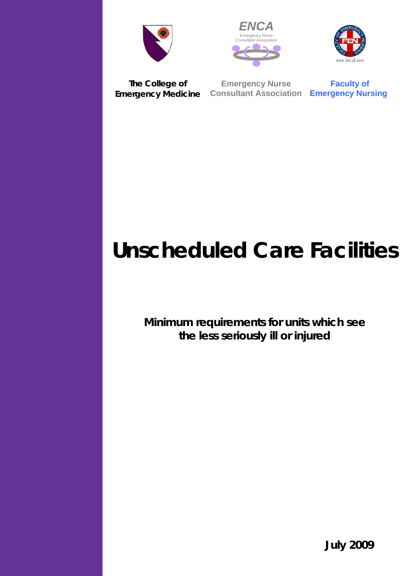





**The College of Emergency Medicine Consultant Association Emergency Nursing**

**Emergency Nurse** 

**Faculty of** 

# **Unscheduled Care Facilities**

**Minimum requirements for units which see the less seriously ill or injured** 

**July 2009**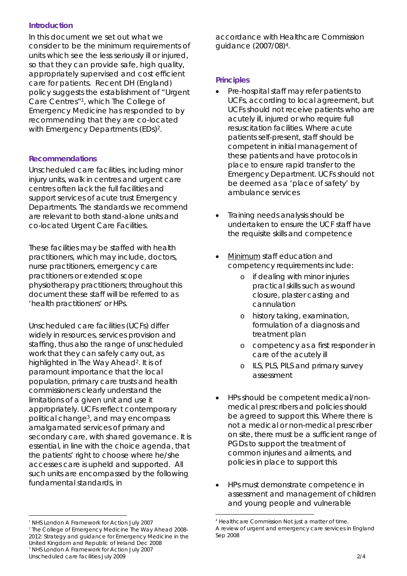## *Introduction*

In this document we set out what we consider to be the minimum requirements of units which see the less seriously ill or injured, so that they can provide safe, high quality, appropriately supervised and cost efficient care for patients. Recent DH (England) policy suggests the establishment of "Urgent Care Centres"1, which The College of Emergency Medicine has responded to by recommending that they are co-located with Emergency Departments (EDs)<sup>2</sup>.

#### *Recommendations*

Unscheduled care facilities, including minor injury units, walk in centres and urgent care centres often lack the full facilities and support services of acute trust Emergency Departments. The standards we recommend are relevant to both stand-alone units and co-located Urgent Care Facilities.

These facilities may be staffed with health practitioners, which may include, doctors, nurse practitioners, emergency care practitioners or extended scope physiotherapy practitioners; throughout this document these staff will be referred to as 'health practitioners' or HPs.

Unscheduled care facilities (UCFs) differ widely in resources, services provision and staffing, thus also the range of unscheduled work that they can safely carry out, as highlighted in The Way Ahead<sup>2</sup>. It is of paramount importance that the local population, primary care trusts and health commissioners clearly understand the limitations of a given unit and use it appropriately. UCFs reflect contemporary political change3, and may encompass amalgamated services of primary and secondary care, with shared governance. It is essential, in line with the choice agenda, that the patients' right to choose where he/she accesses care is upheld and supported. All such units are encompassed by the following fundamental standards, in

accordance with Healthcare Commission guidance (2007/08)4.

### *Principles*

- Pre-hospital staff may refer patients to UCFs, according to local agreement, but UCFs should not receive patients who are acutely ill, injured or who require full resuscitation facilities. Where acute patients self-present, staff should be competent in initial management of these patients and have protocols in place to ensure rapid transfer to the Emergency Department. UCFs should not be deemed as a 'place of safety' by ambulance services
- Training needs analysis should be undertaken to ensure the UCF staff have the requisite skills and competence
- Minimum staff education and competency requirements include:
	- o if dealing with minor injuries practical skills such as wound closure, plaster casting and cannulation
	- o history taking, examination, formulation of a diagnosis and treatment plan
	- o competency as a first responder in care of the acutely ill
	- o ILS, PLS, PILS and primary survey assessment
- HPs should be competent medical/nonmedical prescribers and policies should be agreed to support this. Where there is not a medical or non-medical prescriber on site, there must be a sufficient range of PGDs to support the treatment of common injuries and ailments, and policies in place to support this
- HPs must demonstrate competence in assessment and management of children and young people and vulnerable

 $\overline{a}$ <sup>1</sup> NHS London *A Framework for Action* July 2007

Unscheduled care facilities July 2009 2/4 <sup>2</sup> The College of Emergency Medicine *The Way Ahead 2008- 2012: Strategy and guidance for Emergency Medicine in the United Kingdom and Republic of Ireland* Dec 2008 <sup>3</sup> NHS London *A Framework for Action* July 2007

 $\overline{a}$ 4 Healthcare Commission *Not just a matter of time. A review of urgent and emergency care services in England* Sep 2008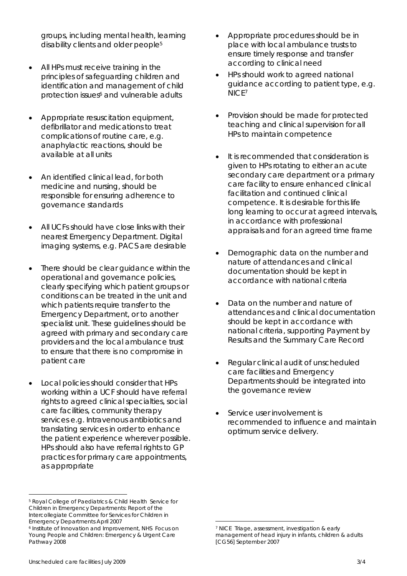groups, including mental health, learning disability clients and older people<sup>5</sup>

- All HPs must receive training in the principles of safeguarding children and identification and management of child protection issues<sup>6</sup> and vulnerable adults
- Appropriate resuscitation equipment, defibrillator and medications to treat complications of routine care, e.g. anaphylactic reactions, should be available at all units
- An identified clinical lead, for both medicine and nursing, should be responsible for ensuring adherence to governance standards
- All UCFs should have close links with their nearest Emergency Department. Digital imaging systems, e.g. PACS are desirable
- There should be clear guidance within the operational and governance policies, clearly specifying which patient groups or conditions can be treated in the unit and which patients require transfer to the Emergency Department, or to another specialist unit. These guidelines should be agreed with primary and secondary care providers and the local ambulance trust to ensure that there is no compromise in patient care
- Local policies should consider that HPs working within a UCF should have referral rights to agreed clinical specialties, social care facilities, community therapy services e.g. Intravenous antibiotics and translating services in order to enhance the patient experience wherever possible. HPs should also have referral rights to GP practices for primary care appointments, as appropriate
- Appropriate procedures should be in place with local ambulance trusts to ensure timely response and transfer according to clinical need
- HPs should work to agreed national guidance according to patient type, e.g. NICE7
- Provision should be made for protected teaching and clinical supervision for all HPs to maintain competence
- It is recommended that consideration is given to HPs rotating to either an acute secondary care department or a primary care facility to ensure enhanced clinical facilitation and continued clinical competence. It is desirable for this life long learning to occur at agreed intervals, in accordance with professional appraisals and for an agreed time frame
- Demographic data on the number and nature of attendances and clinical documentation should be kept in accordance with national criteria
- Data on the number and nature of attendances and clinical documentation should be kept in accordance with national criteria, supporting Payment by Results and the Summary Care Record
- Regular clinical audit of unscheduled care facilities and Emergency Departments should be integrated into the governance review
- Service user involvement is recommended to influence and maintain optimum service delivery.

 $\overline{a}$ 

 $\overline{a}$ 

<sup>5</sup> Royal College of Paediatrics & Child Health *Service for Children in Emergency Departments: Report of the Intercollegiate Committee for Services for Children in Emergency Departments* April 2007<br><sup>6</sup> Institute of Innovation and Improvement, NHS *Focus on* 

*Young People and Children: Emergency & Urgent Care Pathway* 2008

<sup>7</sup> NICE *Triage, assessment, investigation & early management of head injury in infants, children & adults [CG56]* September 2007